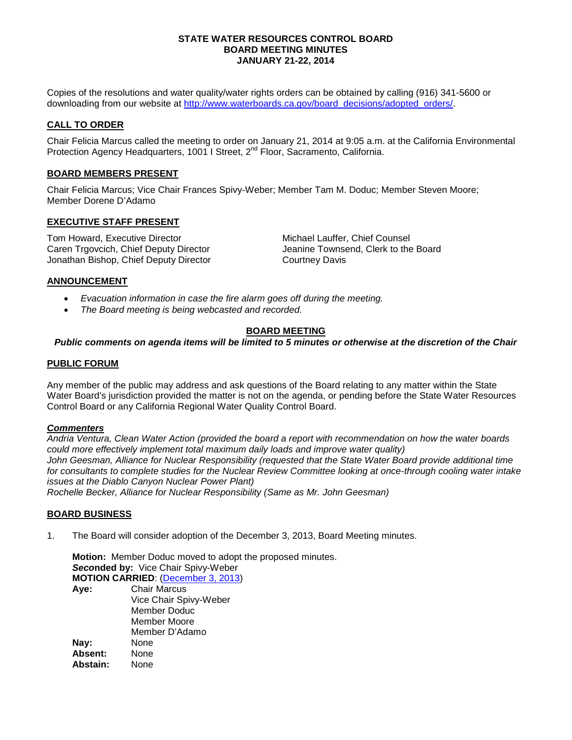### **STATE WATER RESOURCES CONTROL BOARD BOARD MEETING MINUTES JANUARY 21-22, 2014**

Copies of the resolutions and water quality/water rights orders can be obtained by calling (916) 341-5600 or downloading from our website at [http://www.waterboards.ca.gov/board\\_decisions/adopted\\_orders/.](http://www.waterboards.ca.gov/board_decisions/adopted_orders/)

## **CALL TO ORDER**

Chair Felicia Marcus called the meeting to order on January 21, 2014 at 9:05 a.m. at the California Environmental Protection Agency Headquarters, 1001 I Street, 2<sup>nd</sup> Floor, Sacramento, California.

## **BOARD MEMBERS PRESENT**

Chair Felicia Marcus; Vice Chair Frances Spivy-Weber; Member Tam M. Doduc; Member Steven Moore; Member Dorene D'Adamo

## **EXECUTIVE STAFF PRESENT**

Tom Howard, Executive Director **Michael Lauffer, Chief Counsel** Caren Trgovcich, Chief Deputy Director **Caren Access** Jeanine Townsend, Clerk to the Board Jonathan Bishop, Chief Deputy Director Courtney Davis

## **ANNOUNCEMENT**

- *Evacuation information in case the fire alarm goes off during the meeting.*
- *The Board meeting is being webcasted and recorded.*

## **BOARD MEETING**

## *Public comments on agenda items will be limited to 5 minutes or otherwise at the discretion of the Chair*

## **PUBLIC FORUM**

Any member of the public may address and ask questions of the Board relating to any matter within the State Water Board's jurisdiction provided the matter is not on the agenda, or pending before the State Water Resources Control Board or any California Regional Water Quality Control Board.

## *Commenters*

*Andria Ventura, Clean Water Action (provided the board a report with recommendation on how the water boards could more effectively implement total maximum daily loads and improve water quality)* John Geesman, Alliance for Nuclear Responsibility (requested that the State Water Board provide additional time *for consultants to complete studies for the Nuclear Review Committee looking at once-through cooling water intake issues at the Diablo Canyon Nuclear Power Plant) Rochelle Becker, Alliance for Nuclear Responsibility (Same as Mr. John Geesman)*

## **BOARD BUSINESS**

1. The Board will consider adoption of the December 3, 2013, Board Meeting minutes.

**Motion:** Member Doduc moved to adopt the proposed minutes. *Seco***nded by:** Vice Chair Spivy-Weber **MOTION CARRIED**: [\(December 3, 2013\)](http://www.waterboards.ca.gov/board_info/minutes/2013/dec/120313mins.pdf) **Aye:** Chair Marcus Vice Chair Spivy-Weber Member Doduc Member Moore Member D'Adamo **Nay:** None<br> **Absent:** None Absent: **Abstain:** None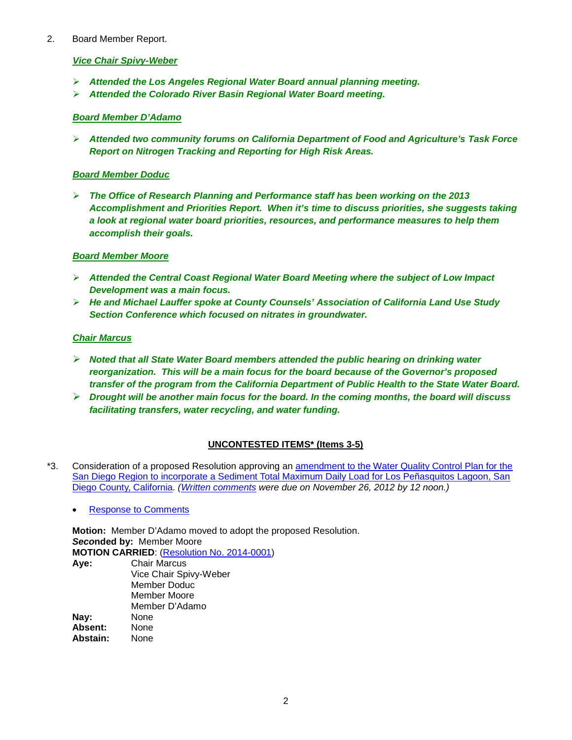## 2. Board Member Report.

## *Vice Chair Spivy-Weber*

- *Attended the Los Angeles Regional Water Board annual planning meeting.*
- *Attended the Colorado River Basin Regional Water Board meeting.*

## *Board Member D'Adamo*

 *Attended two community forums on California Department of Food and Agriculture's Task Force Report on Nitrogen Tracking and Reporting for High Risk Areas.* 

## *Board Member Doduc*

 *The Office of Research Planning and Performance staff has been working on the 2013 Accomplishment and Priorities Report. When it's time to discuss priorities, she suggests taking a look at regional water board priorities, resources, and performance measures to help them accomplish their goals.*

## *Board Member Moore*

- *Attended the Central Coast Regional Water Board Meeting where the subject of Low Impact Development was a main focus.*
- *He and Michael Lauffer spoke at County Counsels' Association of California Land Use Study Section Conference which focused on nitrates in groundwater.*

## *Chair Marcus*

- *Noted that all State Water Board members attended the public hearing on drinking water reorganization. This will be a main focus for the board because of the Governor's proposed transfer of the program from the California Department of Public Health to the State Water Board.*
- *Drought will be another main focus for the board. In the coming months, the board will discuss facilitating transfers, water recycling, and water funding.*

# **UNCONTESTED ITEMS\* (Items 3-5)**

- \*3. Consideration of a proposed Resolution approving an [amendment to the Water Quality Control Plan for the](http://www.waterboards.ca.gov/board_info/agendas/2014/jan/012114_3_with_draft_resolution.pdf)  [San Diego Region to incorporate a Sediment Total Maximum Daily Load for Los Peñasquitos Lagoon, San](http://www.waterboards.ca.gov/board_info/agendas/2014/jan/012114_3_with_draft_resolution.pdf)  [Diego County, California.](http://www.waterboards.ca.gov/board_info/agendas/2014/jan/012114_3_with_draft_resolution.pdf) *[\(Written comments](http://www.waterboards.ca.gov/public_notices/comments/los_penasquitos/) were due on November 26, 2012 by 12 noon.)*
	- [Response to Comments](http://www.waterboards.ca.gov/water_issues/programs/tmdl/docs/sandiego/lospenasquitos_rtc.pdf)

**Motion:** Member D'Adamo moved to adopt the proposed Resolution. *Seco***nded by:** Member Moore **MOTION CARRIED**: [\(Resolution No. 2014-0001\)](http://www.waterboards.ca.gov/board_decisions/adopted_orders/resolutions/2014/rs2014_0001.pdf) **Aye:** Chair Marcus Vice Chair Spivy-Weber Member Doduc Member Moore Member D'Adamo **Nay:** None<br> **Absent:** None Absent: **Abstain:** None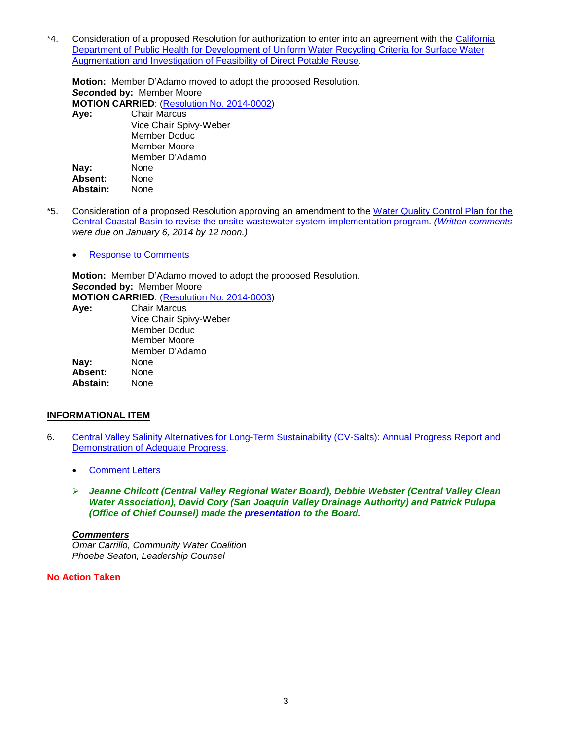\*4. Consideration of a proposed Resolution for authorization to enter into an agreement with the [California](http://www.waterboards.ca.gov/board_info/agendas/2014/jan/012114_4_with_draft_resolution.pdf)  Department of Public Health for [Development of Uniform Water Recycling Criteria for Surface Water](http://www.waterboards.ca.gov/board_info/agendas/2014/jan/012114_4_with_draft_resolution.pdf)  [Augmentation and Investigation of Feasibility of Direct Potable Reuse.](http://www.waterboards.ca.gov/board_info/agendas/2014/jan/012114_4_with_draft_resolution.pdf)

**Motion:** Member D'Adamo moved to adopt the proposed Resolution. *Seco***nded by:** Member Moore **MOTION CARRIED**: [\(Resolution No. 2014-0002\)](http://www.waterboards.ca.gov/board_decisions/adopted_orders/resolutions/2014/rs2014_0002.pdf) **Aye:** Chair Marcus Vice Chair Spivy-Weber Member Doduc Member Moore Member D'Adamo **Nay:** None **Absent:** None Abstain:

- \*5. Consideration of a proposed Resolution approving an amendment to the [Water Quality Control Plan for the](http://www.waterboards.ca.gov/board_info/agendas/2014/jan/012114_5_with_draft_resolution.pdf)  [Central Coastal Basin to revise the onsite wastewater system implementation program.](http://www.waterboards.ca.gov/board_info/agendas/2014/jan/012114_5_with_draft_resolution.pdf) *[\(Written comments](http://www.waterboards.ca.gov/public_notices/comments/rb3/comments010614/index.shtml) were due on January 6, 2014 by 12 noon.)*
	- [Response to Comments](http://www.waterboards.ca.gov/board_info/agendas/2014/jan/012114_5_rtc.pdf)

**Motion:** Member D'Adamo moved to adopt the proposed Resolution. *Seco***nded by:** Member Moore **MOTION CARRIED**: [\(Resolution No. 2014-0003\)](http://www.waterboards.ca.gov/board_decisions/adopted_orders/resolutions/2014/rs2014_0003.pdf) **Aye:** Chair Marcus Vice Chair Spivy-Weber Member Doduc Member Moore

Member D'Adamo Nav: **Absent:** None **Abstain:** None

## **INFORMATIONAL ITEM**

- 6. [Central Valley Salinity Alternatives for Long-Term Sustainability \(CV-Salts\): Annual Progress Report and](http://www.waterboards.ca.gov/board_info/agendas/2014/jan/012114_6.pdf)  [Demonstration of Adequate Progress.](http://www.waterboards.ca.gov/board_info/agendas/2014/jan/012114_6.pdf)
	- [Comment Letters](http://www.waterboards.ca.gov/board_info/agendas/2014/jan/012114_6_commenters.pdf)
	- *Jeanne Chilcott (Central Valley Regional Water Board), Debbie Webster (Central Valley Clean Water Association), David Cory (San Joaquin Valley Drainage Authority) and Patrick Pulupa (Office of Chief Counsel) made the [presentation](http://www.waterboards.ca.gov/board_info/minutes/2014/jan/012114_6_staffpres.pdf) to the Board.*

## *Commenters*

*Omar Carrillo, Community Water Coalition Phoebe Seaton, Leadership Counsel*

## **No Action Taken**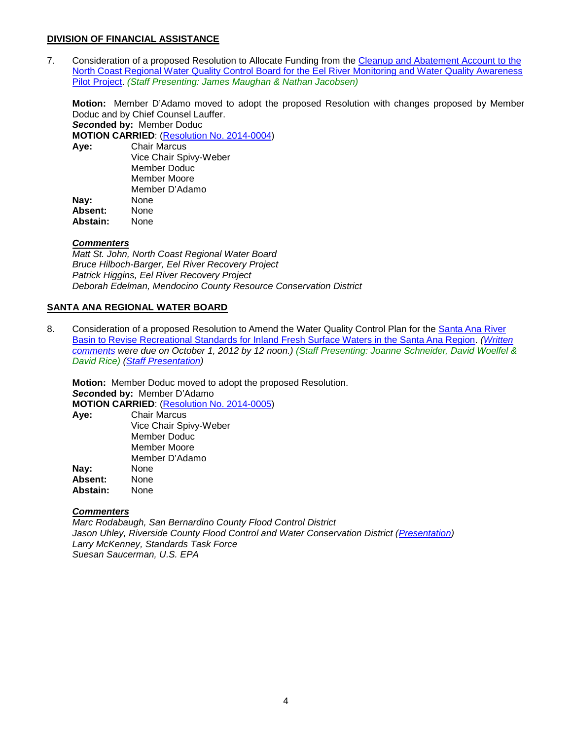## **DIVISION OF FINANCIAL ASSISTANCE**

7. Consideration of a proposed Resolution to Allocate Funding from the [Cleanup and Abatement Account to the](http://www.waterboards.ca.gov/board_info/agendas/2014/jan/012114_7_with_draft_resolution.pdf)  North Coast Regional Water Quality Control [Board for the Eel River Monitoring and Water Quality Awareness](http://www.waterboards.ca.gov/board_info/agendas/2014/jan/012114_7_with_draft_resolution.pdf)  [Pilot Project.](http://www.waterboards.ca.gov/board_info/agendas/2014/jan/012114_7_with_draft_resolution.pdf) *(Staff Presenting: James Maughan & Nathan Jacobsen)*

**Motion:** Member D'Adamo moved to adopt the proposed Resolution with changes proposed by Member Doduc and by Chief Counsel Lauffer.

*Seco***nded by:** Member Doduc

**MOTION CARRIED**: [\(Resolution No. 2014-0004\)](http://www.waterboards.ca.gov/board_decisions/adopted_orders/resolutions/2014/rs2014_0004.pdf)

| Aye:     | <b>Chair Marcus</b>    |  |
|----------|------------------------|--|
|          | Vice Chair Spivy-Weber |  |
|          | Member Doduc           |  |
|          | Member Moore           |  |
|          | Member D'Adamo         |  |
| Nay:     | None                   |  |
| Absent:  | None                   |  |
| Abstain: | None                   |  |
|          |                        |  |

## *Commenters*

*Matt St. John, North Coast Regional Water Board Bruce Hilboch-Barger, Eel River Recovery Project Patrick Higgins, Eel River Recovery Project Deborah Edelman, Mendocino County Resource Conservation District*

## **SANTA ANA REGIONAL WATER BOARD**

8. Consideration of a proposed Resolution to Amend the Water Quality Control Plan for the **Santa Ana River** [Basin to Revise Recreational Standards for Inland Fresh Surface Waters in the Santa Ana Region.](http://www.waterboards.ca.gov/board_info/agendas/2014/jan/012114_8_with_draft_resolution.pdf) *[\(Written](http://www.waterboards.ca.gov/public_notices/comments/rb8/cmmnt100112.shtml)  [comments](http://www.waterboards.ca.gov/public_notices/comments/rb8/cmmnt100112.shtml) were due on October 1, 2012 by 12 noon.) (Staff Presenting: Joanne Schneider, David Woelfel & David Rice) [\(Staff Presentation\)](http://www.waterboards.ca.gov/board_info/minutes/2014/jan/012114_8_staffpres.pdf)*

**Motion:** Member Doduc moved to adopt the proposed Resolution. *Seco***nded by:** Member D'Adamo **MOTION CARRIED:** (**Resolution No. 2014-0005**)<br>**Ave:** Chair Marcus **Aye:** Chair Marcus

|          | Vice Chair Spivy-Weber |
|----------|------------------------|
|          | Member Doduc           |
|          | Member Moore           |
|          | Member D'Adamo         |
| Nay:     | None                   |
| Absent:  | None                   |
| Abstain: | None                   |
|          |                        |

## *Commenters*

*Marc Rodabaugh, San Bernardino County Flood Control District Jason Uhley, Riverside County Flood Control and Water Conservation District [\(Presentation\)](http://www.waterboards.ca.gov/board_info/minutes/2014/jan/012114_8_uhleypres.pdf) Larry McKenney, Standards Task Force Suesan Saucerman, U.S. EPA*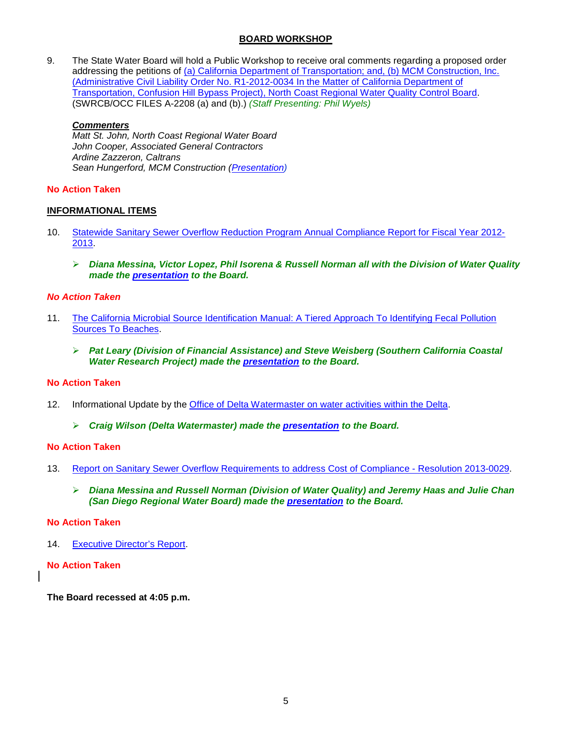## **BOARD WORKSHOP**

9. The State Water Board will hold a Public Workshop to receive oral comments regarding a proposed order addressing the petitions of [\(a\) California Department of Transportation; and, \(b\) MCM Construction, Inc.](http://www.waterboards.ca.gov/board_info/agendas/2014/jan/012114_9.pdf)  [\(Administrative Civil Liability Order No. R1-2012-0034 In the Matter of California Department of](http://www.waterboards.ca.gov/board_info/agendas/2014/jan/012114_9.pdf)  [Transportation, Confusion Hill Bypass Project\), North Coast Regional Water Quality Control Board.](http://www.waterboards.ca.gov/board_info/agendas/2014/jan/012114_9.pdf) (SWRCB/OCC FILES A-2208 (a) and (b).) *(Staff Presenting: Phil Wyels)*

## *Commenters*

*Matt St. John, North Coast Regional Water Board John Cooper, Associated General Contractors Ardine Zazzeron, Caltrans Sean Hungerford, MCM Construction [\(Presentation\)](http://www.waterboards.ca.gov/board_info/minutes/2014/jan/012114_9_hungerfordpres.pdf)*

## **No Action Taken**

## **INFORMATIONAL ITEMS**

- 10. [Statewide Sanitary Sewer Overflow Reduction Program Annual Compliance Report for Fiscal Year 2012-](http://www.waterboards.ca.gov/board_info/agendas/2014/jan/012114_10.pdf) [2013.](http://www.waterboards.ca.gov/board_info/agendas/2014/jan/012114_10.pdf)
	- *Diana Messina, Victor Lopez, Phil Isorena & Russell Norman all with the Division of Water Quality made the [presentation](http://www.waterboards.ca.gov/board_info/minutes/2014/jan/012114_10_staffpres.pdf) to the Board.*

## *No Action Taken*

- 11. The California Microbial Source Identification [Manual: A Tiered Approach To Identifying Fecal Pollution](http://www.waterboards.ca.gov/board_info/agendas/2014/jan/012114_11.pdf)  [Sources To Beaches.](http://www.waterboards.ca.gov/board_info/agendas/2014/jan/012114_11.pdf)
	- *Pat Leary (Division of Financial Assistance) and Steve Weisberg (Southern California Coastal Water Research Project) made the [presentation](http://www.waterboards.ca.gov/board_info/minutes/2014/jan/012114_11_weisbergpres.pdf) to the Board.*

## **No Action Taken**

- 12. Informational Update by the [Office of Delta Watermaster on water activities within the Delta.](http://www.waterboards.ca.gov/board_info/agendas/2014/jan/012114_12.pdf)
	- *Craig Wilson (Delta Watermaster) made the [presentation](http://www.waterboards.ca.gov/board_info/minutes/2014/jan/012114_12_staffpres.pdf) to the Board.*

## **No Action Taken**

- 13. [Report on Sanitary Sewer Overflow Requirements to address Cost of Compliance -](http://www.waterboards.ca.gov/board_info/agendas/2014/jan/012114_13.pdf) Resolution 2013-0029.
	- *Diana Messina and Russell Norman (Division of Water Quality) and Jeremy Haas and Julie Chan (San Diego Regional Water Board) made the [presentation](http://www.waterboards.ca.gov/board_info/minutes/2014/jan/012114_13_staffpres.pdf) to the Board.*

## **No Action Taken**

14. [Executive Director's Report.](http://www.waterboards.ca.gov/board_info/exec_dir_rpts/2014/edrpt012114.pdf)

## **No Action Taken**

**The Board recessed at 4:05 p.m.**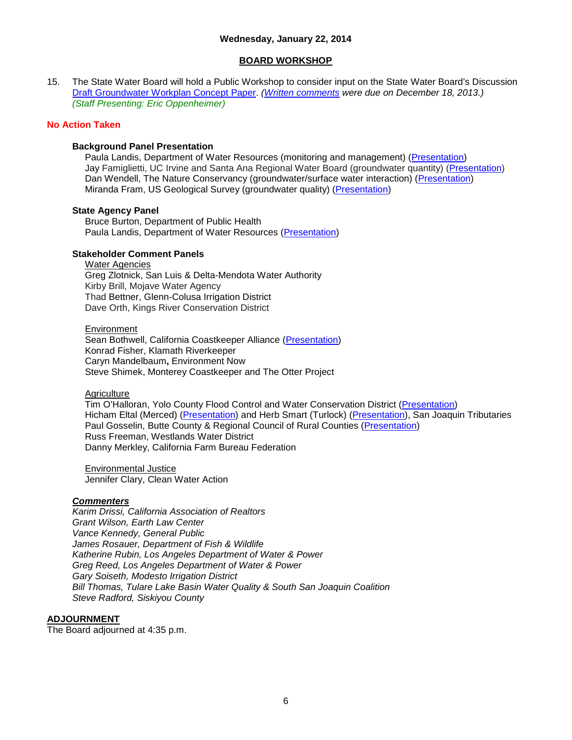## **Wednesday, January 22, 2014**

### **BOARD WORKSHOP**

15. The State Water Board will hold a Public Workshop to consider input on the State Water Board's Discussion [Draft Groundwater Workplan Concept Paper.](http://www.waterboards.ca.gov/board_info/agendas/2014/jan/012214_15.pdf) *[\(Written comments](http://www.waterboards.ca.gov/water_issues/programs/groundwater/workplan_comments.shtml) were due on December 18, 2013.) (Staff Presenting: Eric Oppenheimer)*

#### **No Action Taken**

### **Background Panel Presentation**

Paula Landis, Department of Water Resources (monitoring and management) [\(Presentation\)](http://www.waterboards.ca.gov/water_issues/programs/groundwater/docs/wrkpln/workshp012214/012214_15_landis_background.pdf) Jay Famiglietti, UC Irvine and Santa Ana Regional Water Board (groundwater quantity) [\(Presentation\)](http://www.waterboards.ca.gov/water_issues/programs/groundwater/docs/wrkpln/workshp012214/012214_15_famiglietti.pdf) Dan Wendell, The Nature Conservancy (groundwater/surface water interaction) [\(Presentation\)](http://www.waterboards.ca.gov/water_issues/programs/groundwater/docs/wrkpln/workshp012214/012214_15_wendell.pdf) Miranda Fram, US Geological Survey (groundwater quality) [\(Presentation\)](http://www.waterboards.ca.gov/water_issues/programs/groundwater/docs/wrkpln/workshp012214/012214_15_fram.pdf)

### **State Agency Panel**

Bruce Burton, Department of Public Health Paula Landis, Department of Water Resources [\(Presentation\)](http://www.waterboards.ca.gov/water_issues/programs/groundwater/docs/wrkpln/workshp012214/012214_15_landis_state_agency.pdf)

## **Stakeholder Comment Panels**

Water Agencies Greg Zlotnick, San Luis & Delta-Mendota Water Authority Kirby Brill, Mojave Water Agency Thad Bettner, Glenn-Colusa Irrigation District Dave Orth, Kings River Conservation District

#### Environment

Sean Bothwell, California Coastkeeper Alliance [\(Presentation\)](http://www.waterboards.ca.gov/water_issues/programs/groundwater/docs/wrkpln/workshp012214/012214_15_bothwell.pdf) Konrad Fisher, Klamath Riverkeeper Caryn Mandelbaum**,** Environment Now Steve Shimek, Monterey Coastkeeper and The Otter Project

#### **Agriculture**

Tim O'Halloran, Yolo County Flood Control and Water Conservation District [\(Presentation\)](http://www.waterboards.ca.gov/water_issues/programs/groundwater/docs/wrkpln/workshp012214/012214_15_ohalloran.pdf) Hicham Eltal (Merced) [\(Presentation\)](http://www.waterboards.ca.gov/water_issues/programs/groundwater/docs/wrkpln/workshp012214/012214_15_smart.pdf) and Herb Smart (Turlock) (Presentation), San Joaquin Tributaries Paul Gosselin, Butte County & Regional Council of Rural Counties [\(Presentation\)](http://www.waterboards.ca.gov/water_issues/programs/groundwater/docs/wrkpln/workshp012214/012214_15_gosselin.pdf) Russ Freeman, Westlands Water District Danny Merkley, California Farm Bureau Federation

Environmental Justice Jennifer Clary, Clean Water Action

## *Commenters*

*Karim Drissi, California Association of Realtors Grant Wilson, Earth Law Center Vance Kennedy, General Public James Rosauer, Department of Fish & Wildlife Katherine Rubin, Los Angeles Department of Water & Power Greg Reed, Los Angeles Department of Water & Power Gary Soiseth, Modesto Irrigation District Bill Thomas, Tulare Lake Basin Water Quality & South San Joaquin Coalition Steve Radford, Siskiyou County*

### **ADJOURNMENT**

The Board adjourned at 4:35 p.m.